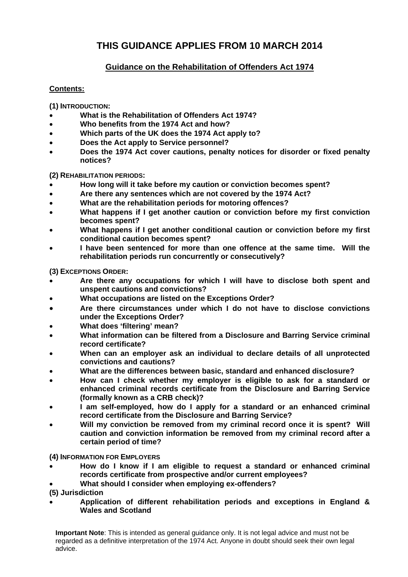# **THIS GUIDANCE APPLIES FROM 10 MARCH 2014**

# **Guidance on the Rehabilitation of Offenders Act 1974**

# **Contents:**

**(1) INTRODUCTION:** 

- **What is the Rehabilitation of Offenders Act 1974?**
- **Who benefits from the 1974 Act and how?**
- **Which parts of the UK does the 1974 Act apply to?**
- **Does the Act apply to Service personnel?**
- **Does the 1974 Act cover cautions, penalty notices for disorder or fixed penalty notices?**

**(2) REHABILITATION PERIODS:** 

- **How long will it take before my caution or conviction becomes spent?**
- **Are there any sentences which are not covered by the 1974 Act?**
- **What are the rehabilitation periods for motoring offences?**
- **What happens if I get another caution or conviction before my first conviction becomes spent?**
- **What happens if I get another conditional caution or conviction before my first conditional caution becomes spent?**
- **I have been sentenced for more than one offence at the same time. Will the rehabilitation periods run concurrently or consecutively?**

**(3) EXCEPTIONS ORDER:** 

- **Are there any occupations for which I will have to disclose both spent and unspent cautions and convictions?**
- **What occupations are listed on the Exceptions Order?**
- **Are there circumstances under which I do not have to disclose convictions under the Exceptions Order?**
- **What does 'filtering' mean?**
- **What information can be filtered from a Disclosure and Barring Service criminal record certificate?**
- **When can an employer ask an individual to declare details of all unprotected convictions and cautions?**
- **What are the differences between basic, standard and enhanced disclosure?**
- **How can I check whether my employer is eligible to ask for a standard or enhanced criminal records certificate from the Disclosure and Barring Service (formally known as a CRB check)?**
- **I am self-employed, how do I apply for a standard or an enhanced criminal record certificate from the Disclosure and Barring Service?**
- **Will my conviction be removed from my criminal record once it is spent? Will caution and conviction information be removed from my criminal record after a certain period of time?**

# **(4) INFORMATION FOR EMPLOYERS**

- **How do I know if I am eligible to request a standard or enhanced criminal records certificate from prospective and/or current employees?**
- **What should I consider when employing ex-offenders?**

**(5) Jurisdiction** 

 **Application of different rehabilitation periods and exceptions in England & Wales and Scotland**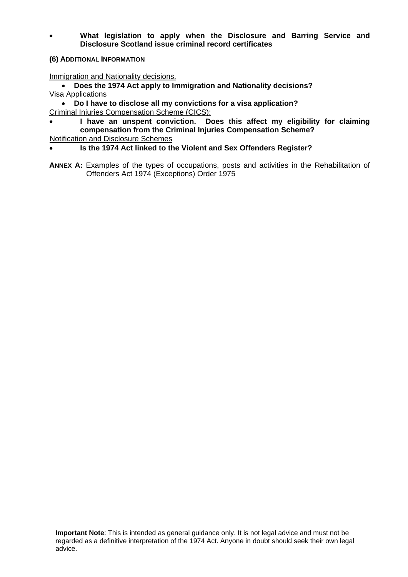- **What legislation to apply when the Disclosure and Barring Service and Disclosure Scotland issue criminal record certificates**
- **(6) ADDITIONAL INFORMATION**

Immigration and Nationality decisions.

- **Does the 1974 Act apply to Immigration and Nationality decisions?** Visa Applications
- **Do I have to disclose all my convictions for a visa application?**  Criminal Injuries Compensation Scheme (CICS):
- **I have an unspent conviction. Does this affect my eligibility for claiming compensation from the Criminal Injuries Compensation Scheme?**
- Notification and Disclosure Schemes
- **Is the 1974 Act linked to the Violent and Sex Offenders Register?**
- ANNEX A: Examples of the types of occupations, posts and activities in the Rehabilitation of Offenders Act 1974 (Exceptions) Order 1975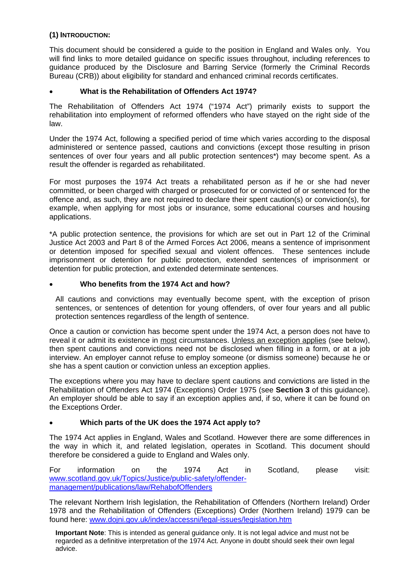# **(1) INTRODUCTION:**

This document should be considered a guide to the position in England and Wales only. You will find links to more detailed guidance on specific issues throughout, including references to guidance produced by the Disclosure and Barring Service (formerly the Criminal Records Bureau (CRB)) about eligibility for standard and enhanced criminal records certificates.

# **What is the Rehabilitation of Offenders Act 1974?**

The Rehabilitation of Offenders Act 1974 ("1974 Act") primarily exists to support the rehabilitation into employment of reformed offenders who have stayed on the right side of the law.

Under the 1974 Act, following a specified period of time which varies according to the disposal administered or sentence passed, cautions and convictions (except those resulting in prison sentences of over four years and all public protection sentences\*) may become spent. As a result the offender is regarded as rehabilitated.

For most purposes the 1974 Act treats a rehabilitated person as if he or she had never committed, or been charged with charged or prosecuted for or convicted of or sentenced for the offence and, as such, they are not required to declare their spent caution(s) or conviction(s), for example, when applying for most jobs or insurance, some educational courses and housing applications.

\*A public protection sentence, the provisions for which are set out in Part 12 of the Criminal Justice Act 2003 and Part 8 of the Armed Forces Act 2006, means a sentence of imprisonment or detention imposed for specified sexual and violent offences. These sentences include imprisonment or detention for public protection, extended sentences of imprisonment or detention for public protection, and extended determinate sentences.

# **Who benefits from the 1974 Act and how?**

All cautions and convictions may eventually become spent, with the exception of prison sentences, or sentences of detention for young offenders, of over four years and all public protection sentences regardless of the length of sentence.

Once a caution or conviction has become spent under the 1974 Act, a person does not have to reveal it or admit its existence in most circumstances. Unless an exception applies (see below), then spent cautions and convictions need not be disclosed when filling in a form, or at a job interview. An employer cannot refuse to employ someone (or dismiss someone) because he or she has a spent caution or conviction unless an exception applies.

The exceptions where you may have to declare spent cautions and convictions are listed in the Rehabilitation of Offenders Act 1974 (Exceptions) Order 1975 (see **Section 3** of this guidance). An employer should be able to say if an exception applies and, if so, where it can be found on the Exceptions Order.

# **Which parts of the UK does the 1974 Act apply to?**

The 1974 Act applies in England, Wales and Scotland. However there are some differences in the way in which it, and related legislation, operates in Scotland. This document should therefore be considered a guide to England and Wales only.

For information on the 1974 Act in Scotland, please visit: [www.scotland.gov.uk/Topics/Justice/public-safety/offender](http://www.scotland.gov.uk/Topics/Justice/public-safety/offender-management/publications/law/RehabofOffenders)[management/publications/law/RehabofOffenders](http://www.scotland.gov.uk/Topics/Justice/public-safety/offender-management/publications/law/RehabofOffenders) 

The relevant Northern Irish legislation, the Rehabilitation of Offenders (Northern Ireland) Order 1978 and the Rehabilitation of Offenders (Exceptions) Order (Northern Ireland) 1979 can be found here: [www.dojni.gov.uk/index/accessni/legal-issues/legislation.htm](http://www.dojni.gov.uk/index/accessni/legal-issues/legislation.htm)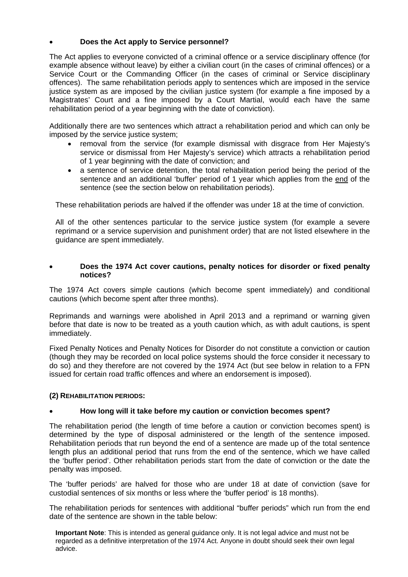# **Does the Act apply to Service personnel?**

The Act applies to everyone convicted of a criminal offence or a service disciplinary offence (for example absence without leave) by either a civilian court (in the cases of criminal offences) or a Service Court or the Commanding Officer (in the cases of criminal or Service disciplinary offences). The same rehabilitation periods apply to sentences which are imposed in the service justice system as are imposed by the civilian justice system (for example a fine imposed by a Magistrates' Court and a fine imposed by a Court Martial, would each have the same rehabilitation period of a year beginning with the date of conviction).

Additionally there are two sentences which attract a rehabilitation period and which can only be imposed by the service justice system;

- removal from the service (for example dismissal with disgrace from Her Majesty's service or dismissal from Her Majesty's service) which attracts a rehabilitation period of 1 year beginning with the date of conviction; and
- a sentence of service detention, the total rehabilitation period being the period of the sentence and an additional 'buffer' period of 1 year which applies from the end of the sentence (see the section below on rehabilitation periods).

These rehabilitation periods are halved if the offender was under 18 at the time of conviction.

All of the other sentences particular to the service justice system (for example a severe reprimand or a service supervision and punishment order) that are not listed elsewhere in the guidance are spent immediately.

### **Does the 1974 Act cover cautions, penalty notices for disorder or fixed penalty notices?**

The 1974 Act covers simple cautions (which become spent immediately) and conditional cautions (which become spent after three months).

Reprimands and warnings were abolished in April 2013 and a reprimand or warning given before that date is now to be treated as a youth caution which, as with adult cautions, is spent immediately.

Fixed Penalty Notices and Penalty Notices for Disorder do not constitute a conviction or caution (though they may be recorded on local police systems should the force consider it necessary to do so) and they therefore are not covered by the 1974 Act (but see below in relation to a FPN issued for certain road traffic offences and where an endorsement is imposed).

# **(2) REHABILITATION PERIODS:**

# **How long will it take before my caution or conviction becomes spent?**

The rehabilitation period (the length of time before a caution or conviction becomes spent) is determined by the type of disposal administered or the length of the sentence imposed. Rehabilitation periods that run beyond the end of a sentence are made up of the total sentence length plus an additional period that runs from the end of the sentence, which we have called the 'buffer period'. Other rehabilitation periods start from the date of conviction or the date the penalty was imposed.

The 'buffer periods' are halved for those who are under 18 at date of conviction (save for custodial sentences of six months or less where the 'buffer period' is 18 months).

The rehabilitation periods for sentences with additional "buffer periods" which run from the end date of the sentence are shown in the table below: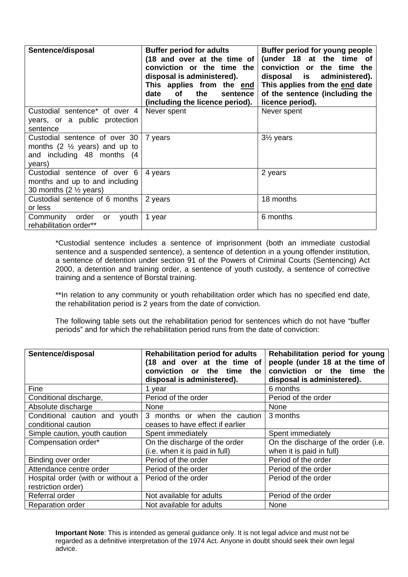| Sentence/disposal                                                                                                  | <b>Buffer period for adults</b><br>(18 and over at the time of<br>conviction or the time the<br>disposal is administered).<br>This applies from the end<br>the<br><b>of</b><br>date<br>sentence<br>(including the licence period). | Buffer period for young people<br>(under 18 at the time of<br>conviction or<br>the time the<br>disposal is administered).<br>This applies from the end date<br>of the sentence (including the<br>licence period). |
|--------------------------------------------------------------------------------------------------------------------|------------------------------------------------------------------------------------------------------------------------------------------------------------------------------------------------------------------------------------|-------------------------------------------------------------------------------------------------------------------------------------------------------------------------------------------------------------------|
| Custodial sentence* of over 4<br>years, or a public protection<br>sentence                                         | Never spent                                                                                                                                                                                                                        | Never spent                                                                                                                                                                                                       |
| Custodial sentence of over 30<br>months $(2 \frac{1}{2})$ years) and up to<br>and including 48 months (4<br>years) | 7 years                                                                                                                                                                                                                            | $3\frac{1}{2}$ years                                                                                                                                                                                              |
| Custodial sentence of over 6<br>months and up to and including<br>30 months $(2 \frac{1}{2} years)$                | 4 years                                                                                                                                                                                                                            | 2 years                                                                                                                                                                                                           |
| Custodial sentence of 6 months<br>or less                                                                          | 2 years                                                                                                                                                                                                                            | 18 months                                                                                                                                                                                                         |
| Community<br>order<br>youth<br>or<br>rehabilitation order**                                                        | 1 year                                                                                                                                                                                                                             | 6 months                                                                                                                                                                                                          |

\*Custodial sentence includes a sentence of imprisonment (both an immediate custodial sentence and a suspended sentence), a sentence of detention in a young offender institution, a sentence of detention under section 91 of the Powers of Criminal Courts (Sentencing) Act 2000, a detention and training order, a sentence of youth custody, a sentence of corrective training and a sentence of Borstal training.

\*\*In relation to any community or youth rehabilitation order which has no specified end date, the rehabilitation period is 2 years from the date of conviction.

The following table sets out the rehabilitation period for sentences which do not have "buffer periods" and for which the rehabilitation period runs from the date of conviction:

| Sentence/disposal                 | <b>Rehabilitation period for adults</b><br>(18 and over at the time of<br>conviction or the time<br>the<br>disposal is administered). | Rehabilitation period for young<br>people (under 18 at the time of<br>conviction or the time<br>the<br>disposal is administered). |
|-----------------------------------|---------------------------------------------------------------------------------------------------------------------------------------|-----------------------------------------------------------------------------------------------------------------------------------|
| Fine                              | 1 year                                                                                                                                | 6 months                                                                                                                          |
| Conditional discharge,            | Period of the order                                                                                                                   | Period of the order                                                                                                               |
| Absolute discharge                | None                                                                                                                                  | None                                                                                                                              |
| Conditional caution and youth     | 3 months or when the caution                                                                                                          | 3 months                                                                                                                          |
| conditional caution               | ceases to have effect if earlier                                                                                                      |                                                                                                                                   |
| Simple caution, youth caution     | Spent immediately                                                                                                                     | Spent immediately                                                                                                                 |
| Compensation order*               | On the discharge of the order                                                                                                         | On the discharge of the order (i.e.                                                                                               |
|                                   | (i.e. when it is paid in full)                                                                                                        | when it is paid in full)                                                                                                          |
| Binding over order                | Period of the order                                                                                                                   | Period of the order                                                                                                               |
| Attendance centre order           | Period of the order                                                                                                                   | Period of the order                                                                                                               |
| Hospital order (with or without a | Period of the order                                                                                                                   | Period of the order                                                                                                               |
| restriction order)                |                                                                                                                                       |                                                                                                                                   |
| Referral order                    | Not available for adults                                                                                                              | Period of the order                                                                                                               |
| <b>Reparation order</b>           | Not available for adults                                                                                                              | None                                                                                                                              |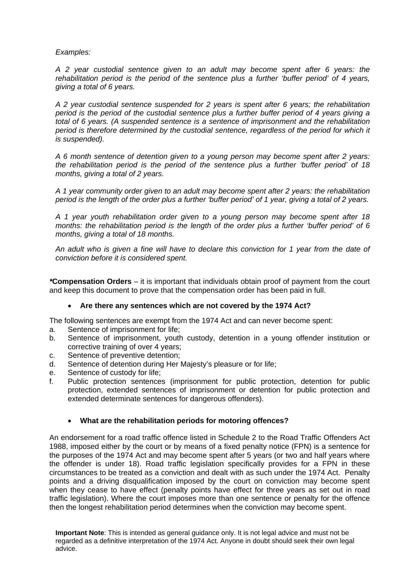# *Examples:*

*A 2 year custodial sentence given to an adult may become spent after 6 years: the rehabilitation period is the period of the sentence plus a further 'buffer period' of 4 years, giving a total of 6 years.* 

*A 2 year custodial sentence suspended for 2 years is spent after 6 years; the rehabilitation period is the period of the custodial sentence plus a further buffer period of 4 years giving a total of 6 years. (A suspended sentence is a sentence of imprisonment and the rehabilitation*  period is therefore determined by the custodial sentence, regardless of the period for which it *is suspended).* 

*A 6 month sentence of detention given to a young person may become spent after 2 years: the rehabilitation period is the period of the sentence plus a further 'buffer period' of 18 months, giving a total of 2 years.* 

*A 1 year community order given to an adult may become spent after 2 years: the rehabilitation period is the length of the order plus a further 'buffer period' of 1 year, giving a total of 2 years.* 

*A 1 year youth rehabilitation order given to a young person may become spent after 18 months: the rehabilitation period is the length of the order plus a further 'buffer period' of 6 months, giving a total of 18 months.* 

*An adult who is given a fine will have to declare this conviction for 1 year from the date of conviction before it is considered spent.* 

*\****Compensation Orders** – it is important that individuals obtain proof of payment from the court and keep this document to prove that the compensation order has been paid in full.

# **Are there any sentences which are not covered by the 1974 Act?**

The following sentences are exempt from the 1974 Act and can never become spent:

- a. Sentence of imprisonment for life;
- b. Sentence of imprisonment, youth custody, detention in a young offender institution or corrective training of over 4 years;
- c. Sentence of preventive detention;
- d. Sentence of detention during Her Majesty's pleasure or for life;
- e. Sentence of custody for life;
- f. Public protection sentences (imprisonment for public protection, detention for public protection, extended sentences of imprisonment or detention for public protection and extended determinate sentences for dangerous offenders).

# **What are the rehabilitation periods for motoring offences?**

An endorsement for a road traffic offence listed in Schedule 2 to the Road Traffic Offenders Act 1988, imposed either by the court or by means of a fixed penalty notice (FPN) is a sentence for the purposes of the 1974 Act and may become spent after 5 years (or two and half years where the offender is under 18). Road traffic legislation specifically provides for a FPN in these circumstances to be treated as a conviction and dealt with as such under the 1974 Act. Penalty points and a driving disqualification imposed by the court on conviction may become spent when they cease to have effect (penalty points have effect for three years as set out in road traffic legislation). Where the court imposes more than one sentence or penalty for the offence then the longest rehabilitation period determines when the conviction may become spent.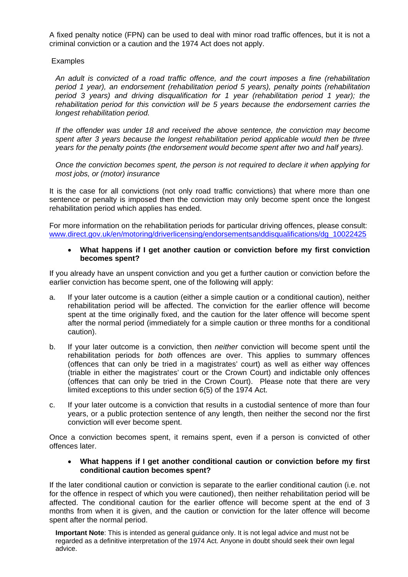A fixed penalty notice (FPN) can be used to deal with minor road traffic offences, but it is not a criminal conviction or a caution and the 1974 Act does not apply.

### **Examples**

*An adult is convicted of a road traffic offence, and the court imposes a fine (rehabilitation period 1 year), an endorsement (rehabilitation period 5 years), penalty points (rehabilitation period 3 years) and driving disqualification for 1 year (rehabilitation period 1 year); the rehabilitation period for this conviction will be 5 years because the endorsement carries the longest rehabilitation period.* 

*If the offender was under 18 and received the above sentence, the conviction may become spent after 3 years because the longest rehabilitation period applicable would then be three years for the penalty points (the endorsement would become spent after two and half years).* 

*Once the conviction becomes spent, the person is not required to declare it when applying for most jobs, or (motor) insurance* 

It is the case for all convictions (not only road traffic convictions) that where more than one sentence or penalty is imposed then the conviction may only become spent once the longest rehabilitation period which applies has ended.

For more information on the rehabilitation periods for particular driving offences, please consult: [www.direct.gov.uk/en/motoring/driverlicensing/endorsementsanddisqualifications/dg\\_10022425](http://www.direct.gov.uk/en/motoring/driverlicensing/endorsementsanddisqualifications/dg_10022425) 

#### **What happens if I get another caution or conviction before my first conviction becomes spent?**

If you already have an unspent conviction and you get a further caution or conviction before the earlier conviction has become spent, one of the following will apply:

- a. If your later outcome is a caution (either a simple caution or a conditional caution), neither rehabilitation period will be affected. The conviction for the earlier offence will become spent at the time originally fixed, and the caution for the later offence will become spent after the normal period (immediately for a simple caution or three months for a conditional caution).
- b. If your later outcome is a conviction, then *neither* conviction will become spent until the rehabilitation periods for *both* offences are over. This applies to summary offences (offences that can only be tried in a magistrates' court) as well as either way offences (triable in either the magistrates' court or the Crown Court) and indictable only offences (offences that can only be tried in the Crown Court). Please note that there are very limited exceptions to this under section 6(5) of the 1974 Act.
- c. If your later outcome is a conviction that results in a custodial sentence of more than four years, or a public protection sentence of any length, then neither the second nor the first conviction will ever become spent.

Once a conviction becomes spent, it remains spent, even if a person is convicted of other offences later.

### **What happens if I get another conditional caution or conviction before my first conditional caution becomes spent?**

If the later conditional caution or conviction is separate to the earlier conditional caution (i.e. not for the offence in respect of which you were cautioned), then neither rehabilitation period will be affected. The conditional caution for the earlier offence will become spent at the end of 3 months from when it is given, and the caution or conviction for the later offence will become spent after the normal period.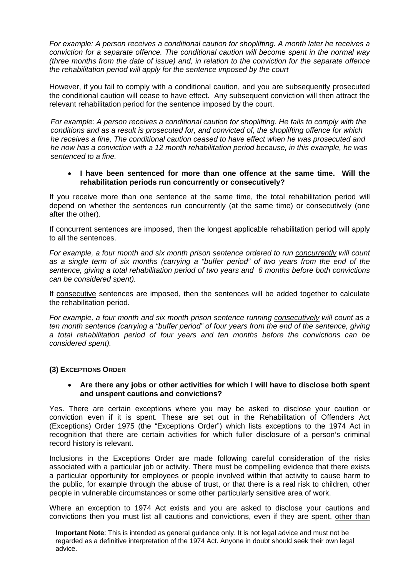*For example: A person receives a conditional caution for shoplifting. A month later he receives a conviction for a separate offence. The conditional caution will become spent in the normal way (three months from the date of issue) and, in relation to the conviction for the separate offence the rehabilitation period will apply for the sentence imposed by the court* 

However, if you fail to comply with a conditional caution, and you are subsequently prosecuted the conditional caution will cease to have effect. Any subsequent conviction will then attract the relevant rehabilitation period for the sentence imposed by the court.

*For example: A person receives a conditional caution for shoplifting. He fails to comply with the conditions and as a result is prosecuted for, and convicted of, the shoplifting offence for which he receives a fine, The conditional caution ceased to have effect when he was prosecuted and he now has a conviction with a 12 month rehabilitation period because, in this example, he was sentenced to a fine.* 

### **I have been sentenced for more than one offence at the same time. Will the rehabilitation periods run concurrently or consecutively?**

If you receive more than one sentence at the same time, the total rehabilitation period will depend on whether the sentences run concurrently (at the same time) or consecutively (one after the other).

If concurrent sentences are imposed, then the longest applicable rehabilitation period will apply to all the sentences.

*For example, a four month and six month prison sentence ordered to run concurrently will count as a single term of six months (carrying a "buffer period" of two years from the end of the sentence, giving a total rehabilitation period of two years and 6 months before both convictions can be considered spent).* 

If consecutive sentences are imposed, then the sentences will be added together to calculate the rehabilitation period.

*For example, a four month and six month prison sentence running consecutively will count as a ten month sentence (carrying a "buffer period" of four years from the end of the sentence, giving a total rehabilitation period of four years and ten months before the convictions can be considered spent).* 

# **(3) EXCEPTIONS ORDER**

#### **Are there any jobs or other activities for which I will have to disclose both spent and unspent cautions and convictions?**

Yes. There are certain exceptions where you may be asked to disclose your caution or conviction even if it is spent. These are set out in the Rehabilitation of Offenders Act (Exceptions) Order 1975 (the "Exceptions Order") which lists exceptions to the 1974 Act in recognition that there are certain activities for which fuller disclosure of a person's criminal record history is relevant.

Inclusions in the Exceptions Order are made following careful consideration of the risks associated with a particular job or activity. There must be compelling evidence that there exists a particular opportunity for employees or people involved within that activity to cause harm to the public, for example through the abuse of trust, or that there is a real risk to children, other people in vulnerable circumstances or some other particularly sensitive area of work.

Where an exception to 1974 Act exists and you are asked to disclose your cautions and convictions then you must list all cautions and convictions, even if they are spent, other than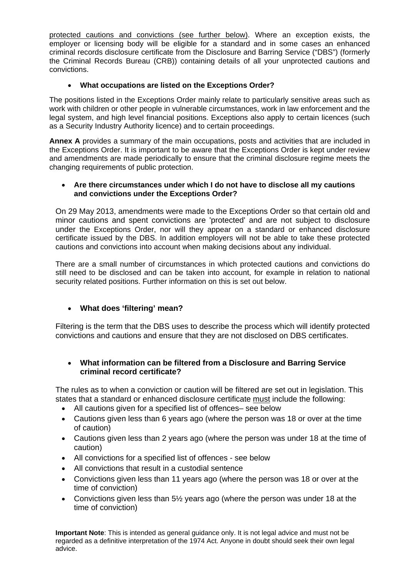protected cautions and convictions (see further below). Where an exception exists, the employer or licensing body will be eligible for a standard and in some cases an enhanced criminal records disclosure certificate from the Disclosure and Barring Service ("DBS") (formerly the Criminal Records Bureau (CRB)) containing details of all your unprotected cautions and convictions.

# **What occupations are listed on the Exceptions Order?**

The positions listed in the Exceptions Order mainly relate to particularly sensitive areas such as work with children or other people in vulnerable circumstances, work in law enforcement and the legal system, and high level financial positions. Exceptions also apply to certain licences (such as a Security Industry Authority licence) and to certain proceedings.

**Annex A** provides a summary of the main occupations, posts and activities that are included in the Exceptions Order. It is important to be aware that the Exceptions Order is kept under review and amendments are made periodically to ensure that the criminal disclosure regime meets the changing requirements of public protection.

# **Are there circumstances under which I do not have to disclose all my cautions and convictions under the Exceptions Order?**

On 29 May 2013, amendments were made to the Exceptions Order so that certain old and minor cautions and spent convictions are 'protected' and are not subject to disclosure under the Exceptions Order, nor will they appear on a standard or enhanced disclosure certificate issued by the DBS. In addition employers will not be able to take these protected cautions and convictions into account when making decisions about any individual.

There are a small number of circumstances in which protected cautions and convictions do still need to be disclosed and can be taken into account, for example in relation to national security related positions. Further information on this is set out below.

# **What does 'filtering' mean?**

Filtering is the term that the DBS uses to describe the process which will identify protected convictions and cautions and ensure that they are not disclosed on DBS certificates.

# **What information can be filtered from a Disclosure and Barring Service criminal record certificate?**

The rules as to when a conviction or caution will be filtered are set out in legislation. This states that a standard or enhanced disclosure certificate must include the following:

- All cautions given for a specified list of offences– see below
- Cautions given less than 6 years ago (where the person was 18 or over at the time of caution)
- Cautions given less than 2 years ago (where the person was under 18 at the time of caution)
- All convictions for a specified list of offences see below
- All convictions that result in a custodial sentence
- Convictions given less than 11 years ago (where the person was 18 or over at the time of conviction)
- Convictions given less than 5½ years ago (where the person was under 18 at the time of conviction)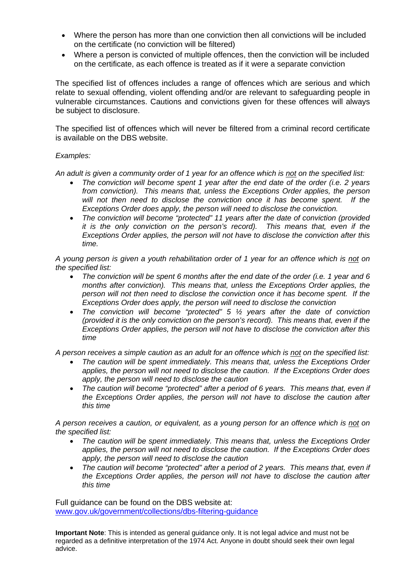- Where the person has more than one conviction then all convictions will be included on the certificate (no conviction will be filtered)
- Where a person is convicted of multiple offences, then the conviction will be included on the certificate, as each offence is treated as if it were a separate conviction

The specified list of offences includes a range of offences which are serious and which relate to sexual offending, violent offending and/or are relevant to safeguarding people in vulnerable circumstances. Cautions and convictions given for these offences will always be subject to disclosure.

The specified list of offences which will never be filtered from a criminal record certificate is available on the DBS website.

# *Examples:*

*An adult is given a community order of 1 year for an offence which is not on the specified list:* 

- *The conviction will become spent 1 year after the end date of the order (i.e. 2 years from conviction). This means that, unless the Exceptions Order applies, the person will not then need to disclose the conviction once it has become spent. If the Exceptions Order does apply, the person will need to disclose the conviction.*
- *The conviction will become "protected" 11 years after the date of conviction (provided it is the only conviction on the person's record). This means that, even if the Exceptions Order applies, the person will not have to disclose the conviction after this time.*

*A young person is given a youth rehabilitation order of 1 year for an offence which is not on the specified list:* 

- *The conviction will be spent 6 months after the end date of the order (i.e. 1 year and 6 months after conviction). This means that, unless the Exceptions Order applies, the person will not then need to disclose the conviction once it has become spent. If the Exceptions Order does apply, the person will need to disclose the conviction*
- *The conviction will become "protected" 5 ½ years after the date of conviction (provided it is the only conviction on the person's record). This means that, even if the Exceptions Order applies, the person will not have to disclose the conviction after this time*

*A person receives a simple caution as an adult for an offence which is not on the specified list:* 

- *The caution will be spent immediately. This means that, unless the Exceptions Order applies, the person will not need to disclose the caution. If the Exceptions Order does apply, the person will need to disclose the caution*
- *The caution will become "protected" after a period of 6 years. This means that, even if the Exceptions Order applies, the person will not have to disclose the caution after this time*

*A person receives a caution, or equivalent, as a young person for an offence which is not on the specified list:* 

- *The caution will be spent immediately. This means that, unless the Exceptions Order applies, the person will not need to disclose the caution. If the Exceptions Order does apply, the person will need to disclose the caution*
- *The caution will become "protected" after a period of 2 years. This means that, even if the Exceptions Order applies, the person will not have to disclose the caution after this time*

Full guidance can be found on the DBS website at: [www.gov.uk/government/collections/dbs-filtering-guidance](http://www.gov.uk/government/collections/dbs-filtering-guidance)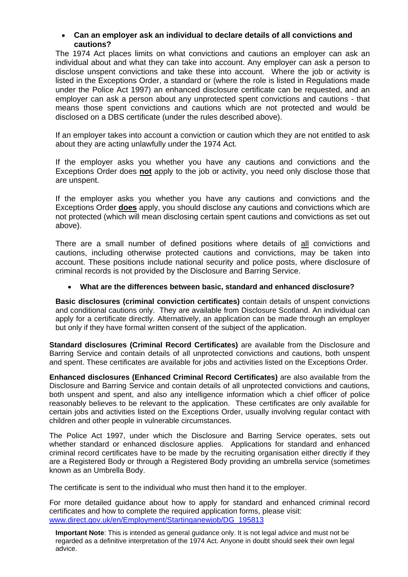# **Can an employer ask an individual to declare details of all convictions and cautions?**

The 1974 Act places limits on what convictions and cautions an employer can ask an individual about and what they can take into account. Any employer can ask a person to disclose unspent convictions and take these into account. Where the job or activity is listed in the Exceptions Order, a standard or (where the role is listed in Regulations made under the Police Act 1997) an enhanced disclosure certificate can be requested, and an employer can ask a person about any unprotected spent convictions and cautions - that means those spent convictions and cautions which are not protected and would be disclosed on a DBS certificate (under the rules described above).

If an employer takes into account a conviction or caution which they are not entitled to ask about they are acting unlawfully under the 1974 Act.

If the employer asks you whether you have any cautions and convictions and the Exceptions Order does **not** apply to the job or activity, you need only disclose those that are unspent.

If the employer asks you whether you have any cautions and convictions and the Exceptions Order **does** apply, you should disclose any cautions and convictions which are not protected (which will mean disclosing certain spent cautions and convictions as set out above).

There are a small number of defined positions where details of all convictions and cautions, including otherwise protected cautions and convictions, may be taken into account. These positions include national security and police posts, where disclosure of criminal records is not provided by the Disclosure and Barring Service.

# **What are the differences between basic, standard and enhanced disclosure?**

**Basic disclosures (criminal conviction certificates)** contain details of unspent convictions and conditional cautions only. They are available from Disclosure Scotland. An individual can apply for a certificate directly. Alternatively, an application can be made through an employer but only if they have formal written consent of the subject of the application.

**Standard disclosures (Criminal Record Certificates)** are available from the Disclosure and Barring Service and contain details of all unprotected convictions and cautions, both unspent and spent. These certificates are available for jobs and activities listed on the Exceptions Order.

**Enhanced disclosures (Enhanced Criminal Record Certificates)** are also available from the Disclosure and Barring Service and contain details of all unprotected convictions and cautions, both unspent and spent, and also any intelligence information which a chief officer of police reasonably believes to be relevant to the application. These certificates are only available for certain jobs and activities listed on the Exceptions Order, usually involving regular contact with children and other people in vulnerable circumstances.

The Police Act 1997, under which the Disclosure and Barring Service operates, sets out whether standard or enhanced disclosure applies. Applications for standard and enhanced criminal record certificates have to be made by the recruiting organisation either directly if they are a Registered Body or through a Registered Body providing an umbrella service (sometimes known as an Umbrella Body.

The certificate is sent to the individual who must then hand it to the employer.

For more detailed guidance about how to apply for standard and enhanced criminal record certificates and how to complete the required application forms, please visit: [www.direct.gov.uk/en/Employment/Startinganewjob/DG\\_195813](http://www.direct.gov.uk/en/Employment/Startinganewjob/DG_195813)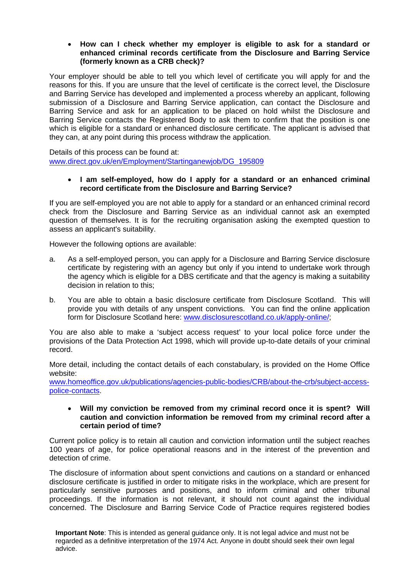### **How can I check whether my employer is eligible to ask for a standard or enhanced criminal records certificate from the Disclosure and Barring Service (formerly known as a CRB check)?**

Your employer should be able to tell you which level of certificate you will apply for and the reasons for this. If you are unsure that the level of certificate is the correct level, the Disclosure and Barring Service has developed and implemented a process whereby an applicant, following submission of a Disclosure and Barring Service application, can contact the Disclosure and Barring Service and ask for an application to be placed on hold whilst the Disclosure and Barring Service contacts the Registered Body to ask them to confirm that the position is one which is eligible for a standard or enhanced disclosure certificate. The applicant is advised that they can, at any point during this process withdraw the application.

Details of this process can be found at: [www.direct.gov.uk/en/Employment/Startinganewjob/DG\\_195809](http://www.direct.gov.uk/en/Employment/Startinganewjob/DG_195809)

#### **I am self-employed, how do I apply for a standard or an enhanced criminal record certificate from the Disclosure and Barring Service?**

If you are self-employed you are not able to apply for a standard or an enhanced criminal record check from the Disclosure and Barring Service as an individual cannot ask an exempted question of themselves. It is for the recruiting organisation asking the exempted question to assess an applicant's suitability.

However the following options are available:

- a. As a self-employed person, you can apply for a Disclosure and Barring Service disclosure certificate by registering with an agency but only if you intend to undertake work through the agency which is eligible for a DBS certificate and that the agency is making a suitability decision in relation to this:
- b. You are able to obtain a basic disclosure certificate from Disclosure Scotland. This will provide you with details of any unspent convictions. You can find the online application form for Disclosure Scotland here: [www.disclosurescotland.co.uk/apply-online/;](http://www.disclosurescotland.co.uk/apply-online/)

You are also able to make a 'subject access request' to your local police force under the provisions of the Data Protection Act 1998, which will provide up-to-date details of your criminal record.

More detail, including the contact details of each constabulary, is provided on the Home Office website:

[www.homeoffice.gov.uk/publications/agencies-public-bodies/CRB/about-the-crb/subject-access](http://www.homeoffice.gov.uk/publications/agencies-public-bodies/CRB/about-the-crb/subject-access-police-contacts)[police-contacts](http://www.homeoffice.gov.uk/publications/agencies-public-bodies/CRB/about-the-crb/subject-access-police-contacts).

### **Will my conviction be removed from my criminal record once it is spent? Will caution and conviction information be removed from my criminal record after a certain period of time?**

Current police policy is to retain all caution and conviction information until the subject reaches 100 years of age, for police operational reasons and in the interest of the prevention and detection of crime.

The disclosure of information about spent convictions and cautions on a standard or enhanced disclosure certificate is justified in order to mitigate risks in the workplace, which are present for particularly sensitive purposes and positions, and to inform criminal and other tribunal proceedings. If the information is not relevant, it should not count against the individual concerned. The Disclosure and Barring Service Code of Practice requires registered bodies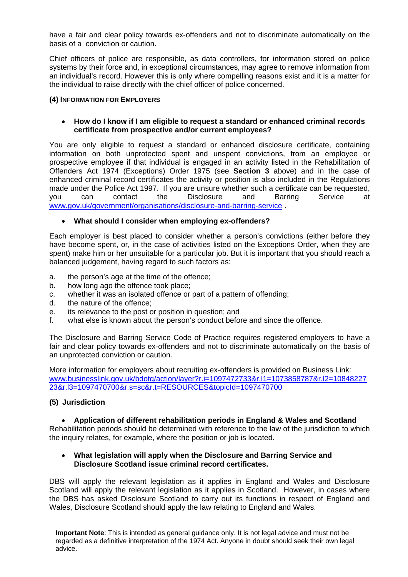have a fair and clear policy towards ex-offenders and not to discriminate automatically on the basis of a conviction or caution.

Chief officers of police are responsible, as data controllers, for information stored on police systems by their force and, in exceptional circumstances, may agree to remove information from an individual's record. However this is only where compelling reasons exist and it is a matter for the individual to raise directly with the chief officer of police concerned.

#### **(4) INFORMATION FOR EMPLOYERS**

### **How do I know if I am eligible to request a standard or enhanced criminal records certificate from prospective and/or current employees?**

You are only eligible to request a standard or enhanced disclosure certificate, containing information on both unprotected spent and unspent convictions, from an employee or prospective employee if that individual is engaged in an activity listed in the Rehabilitation of Offenders Act 1974 (Exceptions) Order 1975 (see **Section 3** above) and in the case of enhanced criminal record certificates the activity or position is also included in the Regulations made under the Police Act 1997. If you are unsure whether such a certificate can be requested, you can contact the Disclosure and Barring Service at [www.gov.uk/government/organisations/disclosure-and-barring-service](http://www.gov.uk/government/organisations/disclosure-and-barring-service) .

# **What should I consider when employing ex-offenders?**

Each employer is best placed to consider whether a person's convictions (either before they have become spent, or, in the case of activities listed on the Exceptions Order, when they are spent) make him or her unsuitable for a particular job. But it is important that you should reach a balanced judgement, having regard to such factors as:

- a. the person's age at the time of the offence;
- b. how long ago the offence took place;
- c. whether it was an isolated offence or part of a pattern of offending;
- d. the nature of the offence;
- e. its relevance to the post or position in question; and
- f. what else is known about the person's conduct before and since the offence.

The Disclosure and Barring Service Code of Practice requires registered employers to have a fair and clear policy towards ex-offenders and not to discriminate automatically on the basis of an unprotected conviction or caution.

More information for employers about recruiting ex-offenders is provided on Business Link: [www.businesslink.gov.uk/bdotg/action/layer?r.i=1097472733&r.l1=1073858787&r.l2=10848227](http://www.businesslink.gov.uk/bdotg/action/layer?r.i=1097472733&r.l1=1073858787&r.l2=1084822723&r.l3=1097470700&r.s=sc&r.t=RESOURCES&topicId=1097470700) [23&r.l3=1097470700&r.s=sc&r.t=RESOURCES&topicId=1097470700](http://www.businesslink.gov.uk/bdotg/action/layer?r.i=1097472733&r.l1=1073858787&r.l2=1084822723&r.l3=1097470700&r.s=sc&r.t=RESOURCES&topicId=1097470700)

# **(5) Jurisdiction**

#### **Application of different rehabilitation periods in England & Wales and Scotland**

Rehabilitation periods should be determined with reference to the law of the jurisdiction to which the inquiry relates, for example, where the position or job is located.

### **What legislation will apply when the Disclosure and Barring Service and Disclosure Scotland issue criminal record certificates.**

DBS will apply the relevant legislation as it applies in England and Wales and Disclosure Scotland will apply the relevant legislation as it applies in Scotland. However, in cases where the DBS has asked Disclosure Scotland to carry out its functions in respect of England and Wales, Disclosure Scotland should apply the law relating to England and Wales.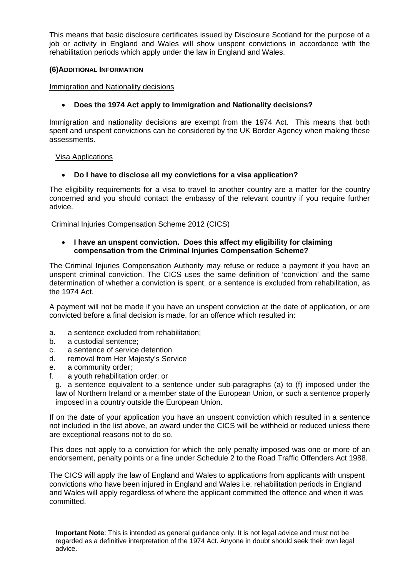This means that basic disclosure certificates issued by Disclosure Scotland for the purpose of a job or activity in England and Wales will show unspent convictions in accordance with the rehabilitation periods which apply under the law in England and Wales.

# **(6)ADDITIONAL INFORMATION**

# Immigration and Nationality decisions

# **Does the 1974 Act apply to Immigration and Nationality decisions?**

Immigration and nationality decisions are exempt from the 1974 Act. This means that both spent and unspent convictions can be considered by the UK Border Agency when making these assessments.

# Visa Applications

# **Do I have to disclose all my convictions for a visa application?**

The eligibility requirements for a visa to travel to another country are a matter for the country concerned and you should contact the embassy of the relevant country if you require further advice.

Criminal Injuries Compensation Scheme 2012 (CICS)

# **I have an unspent conviction. Does this affect my eligibility for claiming compensation from the Criminal Injuries Compensation Scheme?**

The Criminal Injuries Compensation Authority may refuse or reduce a payment if you have an unspent criminal conviction. The CICS uses the same definition of 'conviction' and the same determination of whether a conviction is spent, or a sentence is excluded from rehabilitation, as the 1974 Act.

A payment will not be made if you have an unspent conviction at the date of application, or are convicted before a final decision is made, for an offence which resulted in:

- a. a sentence excluded from rehabilitation;
- b. a custodial sentence;
- c. a sentence of service detention
- d. removal from Her Majesty's Service
- e. a community order;
- f. a youth rehabilitation order; or
	- g. a sentence equivalent to a sentence under sub-paragraphs (a) to (f) imposed under the law of Northern Ireland or a member state of the European Union, or such a sentence properly imposed in a country outside the European Union.

If on the date of your application you have an unspent conviction which resulted in a sentence not included in the list above, an award under the CICS will be withheld or reduced unless there are exceptional reasons not to do so.

This does not apply to a conviction for which the only penalty imposed was one or more of an endorsement, penalty points or a fine under Schedule 2 to the Road Traffic Offenders Act 1988.

The CICS will apply the law of England and Wales to applications from applicants with unspent convictions who have been injured in England and Wales i.e. rehabilitation periods in England and Wales will apply regardless of where the applicant committed the offence and when it was committed.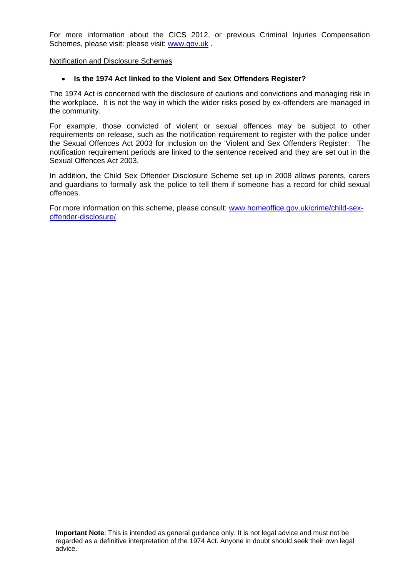For more information about the CICS 2012, or previous Criminal Injuries Compensation Schemes, please visit: please visit: [www.gov.uk](http://www.gov.uk/) .

Notification and Disclosure Schemes

# **Is the 1974 Act linked to the Violent and Sex Offenders Register?**

The 1974 Act is concerned with the disclosure of cautions and convictions and managing risk in the workplace. It is not the way in which the wider risks posed by ex-offenders are managed in the community.

For example, those convicted of violent or sexual offences may be subject to other requirements on release, such as the notification requirement to register with the police under the Sexual Offences Act 2003 for inclusion on the 'Violent and Sex Offenders Register'. The notification requirement periods are linked to the sentence received and they are set out in the Sexual Offences Act 2003.

In addition, the Child Sex Offender Disclosure Scheme set up in 2008 allows parents, carers and guardians to formally ask the police to tell them if someone has a record for child sexual offences.

For more information on this scheme, please consult: [www.homeoffice.gov.uk/crime/child-sex](http://www.homeoffice.gov.uk/crime/child-sex-offender-disclosure/)[offender-disclosure/](http://www.homeoffice.gov.uk/crime/child-sex-offender-disclosure/)